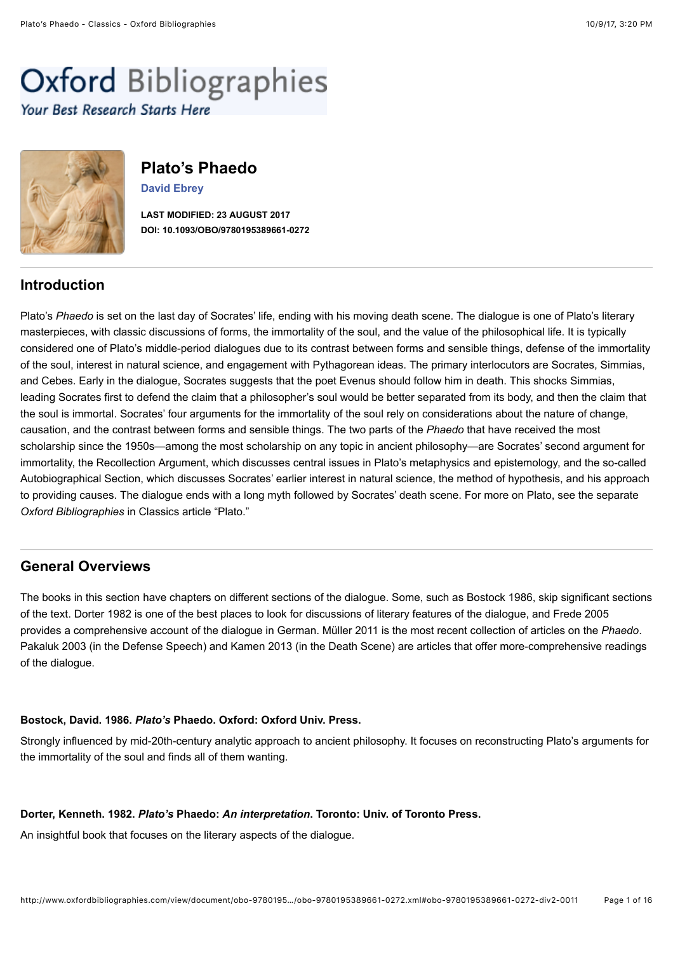# <span id="page-0-3"></span>**Oxford Bibliographies** Your Best Research Starts Here



# **Plato's Phaedo**

**[David Ebrey](https://sites.google.com/site/davidebrey/)**

**LAST MODIFIED: 23 AUGUST 2017 DOI: 10.1093/OBO/9780195389661-0272**

# **Introduction**

Plato's *Phaedo* is set on the last day of Socrates' life, ending with his moving death scene. The dialogue is one of Plato's literary masterpieces, with classic discussions of forms, the immortality of the soul, and the value of the philosophical life. It is typically considered one of Plato's middle-period dialogues due to its contrast between forms and sensible things, defense of the immortality of the soul, interest in natural science, and engagement with Pythagorean ideas. The primary interlocutors are Socrates, Simmias, and Cebes. Early in the dialogue, Socrates suggests that the poet Evenus should follow him in death. This shocks Simmias, leading Socrates first to defend the claim that a philosopher's soul would be better separated from its body, and then the claim that the soul is immortal. Socrates' four arguments for the immortality of the soul rely on considerations about the nature of change, causation, and the contrast between forms and sensible things. The two parts of the *Phaedo* that have received the most scholarship since the 1950s—among the most scholarship on any topic in ancient philosophy—are Socrates' second argument for immortality, the [Recollection Argument,](#page-8-0) which discusses central issues in Plato's metaphysics and epistemology, and the so-called [Autobiographical Section](#page-10-0), which discusses Socrates' earlier interest in natural science, the method of hypothesis, and his approach to providing causes. The dialogue ends with a long myth followed by Socrates' death scene. For more on Plato, see the separate *Oxford Bibliographies* in Classics article "[Plato.](http://www.oxfordbibliographies.com/view/document/obo-9780195389661/obo-9780195389661-0006.xml)"

# <span id="page-0-2"></span>**General Overviews**

The books in this section have chapters on different sections of the dialogue. Some, such as [Bostock 1986,](#page-0-0) skip significant sections of the text. [Dorter 1982](#page-0-1) is one of the best places to look for discussions of literary features of the dialogue, and [Frede 2005](#page-1-0) provides a comprehensive account of the dialogue in German. [Müller 2011](#page-1-1) is the most recent collection of articles on the *Phaedo*. [Pakaluk 2003](#page-7-0) (in the [Defense Speech](#page-7-1)) and [Kamen 2013](#page-13-0) (in the [Death Scene](#page-13-1)) are articles that offer more-comprehensive readings of the dialogue.

## <span id="page-0-0"></span>**Bostock, David. 1986.** *Plato's* **Phaedo. Oxford: Oxford Univ. Press.**

Strongly influenced by mid-20th-century analytic approach to ancient philosophy. It focuses on reconstructing Plato's arguments for the immortality of the soul and finds all of them wanting.

## <span id="page-0-1"></span>**Dorter, Kenneth. 1982.** *Plato's* **Phaedo:** *An interpretation***. Toronto: Univ. of Toronto Press.**

An insightful book that focuses on the literary aspects of the dialogue.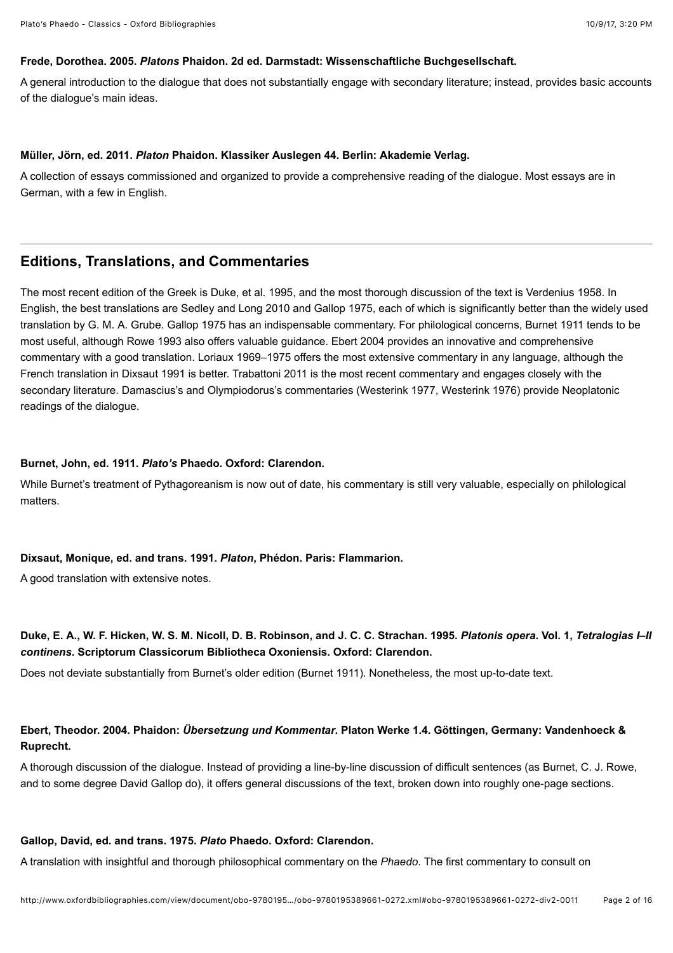#### <span id="page-1-0"></span>**Frede, Dorothea. 2005.** *Platons* **Phaidon. 2d ed. Darmstadt: Wissenschaftliche Buchgesellschaft.**

A general introduction to the dialogue that does not substantially engage with secondary literature; instead, provides basic accounts of the dialogue's main ideas.

#### <span id="page-1-1"></span>**Müller, Jörn, ed. 2011.** *Platon* **Phaidon. Klassiker Auslegen 44. Berlin: Akademie Verlag.**

A collection of essays commissioned and organized to provide a comprehensive reading of the dialogue. Most essays are in German, with a few in English.

# <span id="page-1-7"></span>**Editions, Translations, and Commentaries**

The most recent edition of the Greek is [Duke, et al. 1995,](#page-1-2) and the most thorough discussion of the text is [Verdenius 1958.](#page-2-0) In English, the best translations are [Sedley and Long 2010](#page-2-1) and [Gallop 1975](#page-1-3), each of which is significantly better than the widely used translation by G. M. A. Grube. [Gallop 1975](#page-1-3) has an indispensable commentary. For philological concerns, [Burnet 1911](#page-1-4) tends to be most useful, although [Rowe 1993](#page-2-2) also offers valuable guidance. [Ebert 2004](#page-1-5) provides an innovative and comprehensive commentary with a good translation. [Loriaux 1969–1975](#page-2-3) offers the most extensive commentary in any language, although the French translation in [Dixsaut 1991](#page-1-6) is better. [Trabattoni 2011](#page-2-4) is the most recent commentary and engages closely with the secondary literature. Damascius's and Olympiodorus's commentaries [\(Westerink 1977,](#page-2-5) [Westerink 1976\)](#page-2-6) provide Neoplatonic readings of the dialogue.

#### <span id="page-1-4"></span>**Burnet, John, ed. 1911.** *Plato's* **Phaedo. Oxford: Clarendon.**

While Burnet's treatment of Pythagoreanism is now out of date, his commentary is still very valuable, especially on philological matters.

#### <span id="page-1-6"></span>**Dixsaut, Monique, ed. and trans. 1991.** *Platon***, Phédon. Paris: Flammarion.**

A good translation with extensive notes.

# <span id="page-1-2"></span>**Duke, E. A., W. F. Hicken, W. S. M. Nicoll, D. B. Robinson, and J. C. C. Strachan. 1995.** *Platonis opera***. Vol. 1,** *Tetralogias I–II continens***. Scriptorum Classicorum Bibliotheca Oxoniensis. Oxford: Clarendon.**

Does not deviate substantially from Burnet's older edition [\(Burnet 1911\)](#page-1-4). Nonetheless, the most up-to-date text.

## <span id="page-1-5"></span>**Ebert, Theodor. 2004. Phaidon:** *Übersetzung und Kommentar***. Platon Werke 1.4. Göttingen, Germany: Vandenhoeck & Ruprecht.**

A thorough discussion of the dialogue. Instead of providing a line-by-line discussion of difficult sentences (as Burnet, C. J. Rowe, and to some degree David Gallop do), it offers general discussions of the text, broken down into roughly one-page sections.

#### <span id="page-1-3"></span>**Gallop, David, ed. and trans. 1975.** *Plato* **Phaedo. Oxford: Clarendon.**

A translation with insightful and thorough philosophical commentary on the *Phaedo*. The first commentary to consult on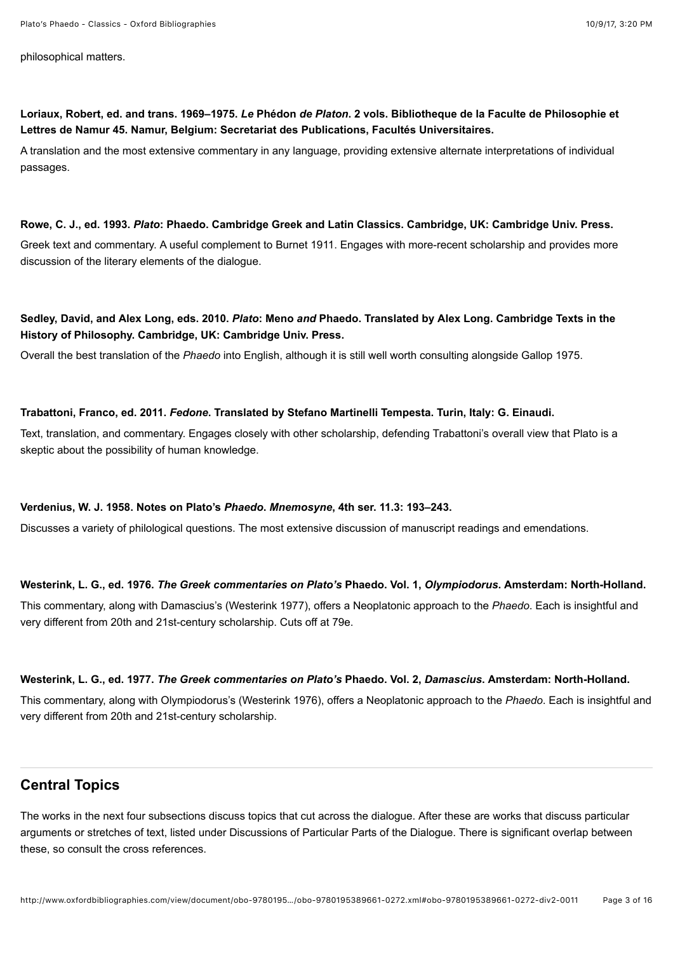Plato's Phaedo - Classics - Oxford Bibliographies 10/9/17, 3:20 PM

philosophical matters.

<span id="page-2-3"></span>**Loriaux, Robert, ed. and trans. 1969–1975.** *Le* **Phédon** *de Platon***. 2 vols. Bibliotheque de la Faculte de Philosophie et Lettres de Namur 45. Namur, Belgium: Secretariat des Publications, Facultés Universitaires.**

A translation and the most extensive commentary in any language, providing extensive alternate interpretations of individual passages.

## <span id="page-2-2"></span>**Rowe, C. J., ed. 1993.** *Plato***: Phaedo. Cambridge Greek and Latin Classics. Cambridge, UK: Cambridge Univ. Press.**

Greek text and commentary. A useful complement to [Burnet 1911](#page-1-4). Engages with more-recent scholarship and provides more discussion of the literary elements of the dialogue.

# <span id="page-2-1"></span>**Sedley, David, and Alex Long, eds. 2010.** *Plato***: Meno** *and* **Phaedo. Translated by Alex Long. Cambridge Texts in the History of Philosophy. Cambridge, UK: Cambridge Univ. Press.**

Overall the best translation of the *Phaedo* into English, although it is still well worth consulting alongside [Gallop 1975.](#page-1-3)

# <span id="page-2-4"></span>**Trabattoni, Franco, ed. 2011.** *Fedone***. Translated by Stefano Martinelli Tempesta. Turin, Italy: G. Einaudi.**

Text, translation, and commentary. Engages closely with other scholarship, defending Trabattoni's overall view that Plato is a skeptic about the possibility of human knowledge.

# <span id="page-2-0"></span>**Verdenius, W. J. 1958. Notes on Plato's** *Phaedo***.** *Mnemosyne***, 4th ser. 11.3: 193–243.**

Discusses a variety of philological questions. The most extensive discussion of manuscript readings and emendations.

# <span id="page-2-6"></span>**Westerink, L. G., ed. 1976.** *The Greek commentaries on Plato's* **Phaedo. Vol. 1,** *Olympiodorus***. Amsterdam: North-Holland.**

This commentary, along with Damascius's [\(Westerink 1977](#page-2-5)), offers a Neoplatonic approach to the *Phaedo*. Each is insightful and very different from 20th and 21st-century scholarship. Cuts off at 79e.

# <span id="page-2-5"></span>**Westerink, L. G., ed. 1977.** *The Greek commentaries on Plato's* **Phaedo. Vol. 2,** *Damascius***. Amsterdam: North-Holland.**

This commentary, along with Olympiodorus's [\(Westerink 1976\)](#page-2-6), offers a Neoplatonic approach to the *Phaedo*. Each is insightful and very different from 20th and 21st-century scholarship.

# **Central Topics**

The works in the next four subsections discuss topics that cut across the dialogue. After these are works that discuss particular arguments or stretches of text, listed under [Discussions of Particular Parts of the Dialogue](#page-6-0). There is significant overlap between these, so consult the cross references.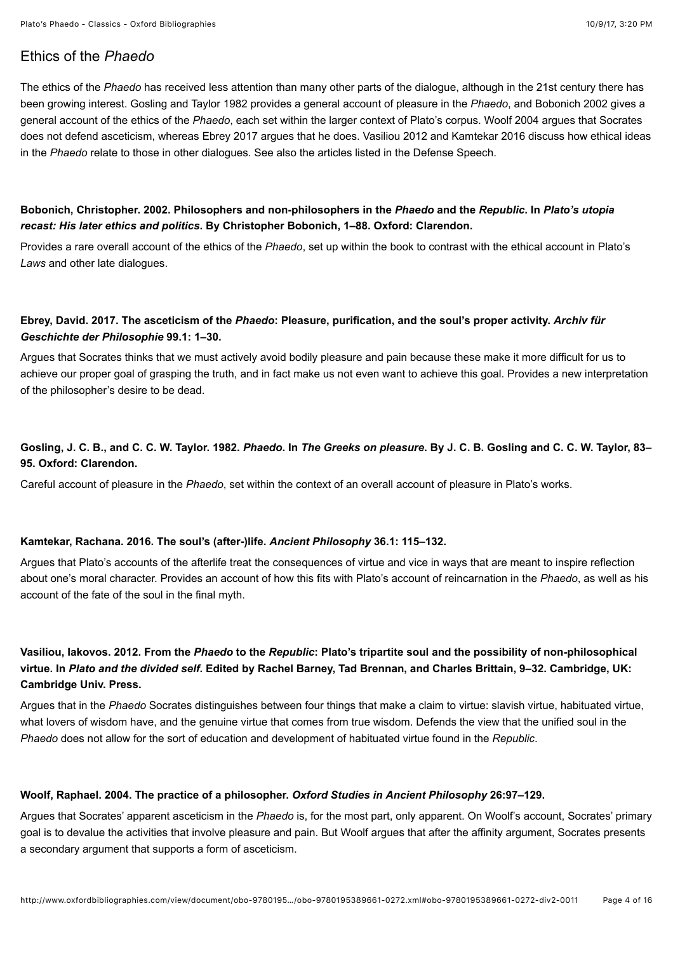# <span id="page-3-6"></span>Ethics of the *Phaedo*

The ethics of the *Phaedo* has received less attention than many other parts of the dialogue, although in the 21st century there has been growing interest. [Gosling and Taylor 1982](#page-3-0) provides a general account of pleasure in the *Phaedo*, and [Bobonich 2002](#page-3-1) gives a general account of the ethics of the *Phaedo*, each set within the larger context of Plato's corpus. [Woolf 2004](#page-3-2) argues that Socrates does not defend asceticism, whereas [Ebrey 2017](#page-3-3) argues that he does. [Vasiliou 2012](#page-3-4) and [Kamtekar 2016](#page-3-5) discuss how ethical ideas in the *Phaedo* relate to those in other dialogues. See also the articles listed in the [Defense Speech](#page-7-1).

## <span id="page-3-1"></span>**Bobonich, Christopher. 2002. Philosophers and non-philosophers in the** *Phaedo* **and the** *Republic***. In** *Plato's utopia recast: His later ethics and politics***. By Christopher Bobonich, 1–88. Oxford: Clarendon.**

Provides a rare overall account of the ethics of the *Phaedo*, set up within the book to contrast with the ethical account in Plato's *Laws* and other late dialogues.

## <span id="page-3-3"></span>**Ebrey, David. 2017. The asceticism of the** *Phaedo***: Pleasure, purification, and the soul's proper activity.** *Archiv für Geschichte der Philosophie* **99.1: 1–30.**

Argues that Socrates thinks that we must actively avoid bodily pleasure and pain because these make it more difficult for us to achieve our proper goal of grasping the truth, and in fact make us not even want to achieve this goal. Provides a new interpretation of the philosopher's desire to be dead.

# <span id="page-3-0"></span>**Gosling, J. C. B., and C. C. W. Taylor. 1982.** *Phaedo***. In** *The Greeks on pleasure***. By J. C. B. Gosling and C. C. W. Taylor, 83– 95. Oxford: Clarendon.**

Careful account of pleasure in the *Phaedo*, set within the context of an overall account of pleasure in Plato's works.

#### <span id="page-3-5"></span>**Kamtekar, Rachana. 2016. The soul's (after-)life.** *Ancient Philosophy* **36.1: 115–132.**

Argues that Plato's accounts of the afterlife treat the consequences of virtue and vice in ways that are meant to inspire reflection about one's moral character. Provides an account of how this fits with Plato's account of reincarnation in the *Phaedo*, as well as his account of the fate of the soul in the final myth.

# <span id="page-3-4"></span>**Vasiliou, Iakovos. 2012. From the** *Phaedo* **to the** *Republic***: Plato's tripartite soul and the possibility of non-philosophical virtue. In** *Plato and the divided self***. Edited by Rachel Barney, Tad Brennan, and Charles Brittain, 9–32. Cambridge, UK: Cambridge Univ. Press.**

Argues that in the *Phaedo* Socrates distinguishes between four things that make a claim to virtue: slavish virtue, habituated virtue, what lovers of wisdom have, and the genuine virtue that comes from true wisdom. Defends the view that the unified soul in the *Phaedo* does not allow for the sort of education and development of habituated virtue found in the *Republic*.

#### <span id="page-3-2"></span>**Woolf, Raphael. 2004. The practice of a philosopher.** *Oxford Studies in Ancient Philosophy* **26:97–129.**

Argues that Socrates' apparent asceticism in the *Phaedo* is, for the most part, only apparent. On Woolf's account, Socrates' primary goal is to devalue the activities that involve pleasure and pain. But Woolf argues that after the affinity argument, Socrates presents a secondary argument that supports a form of asceticism.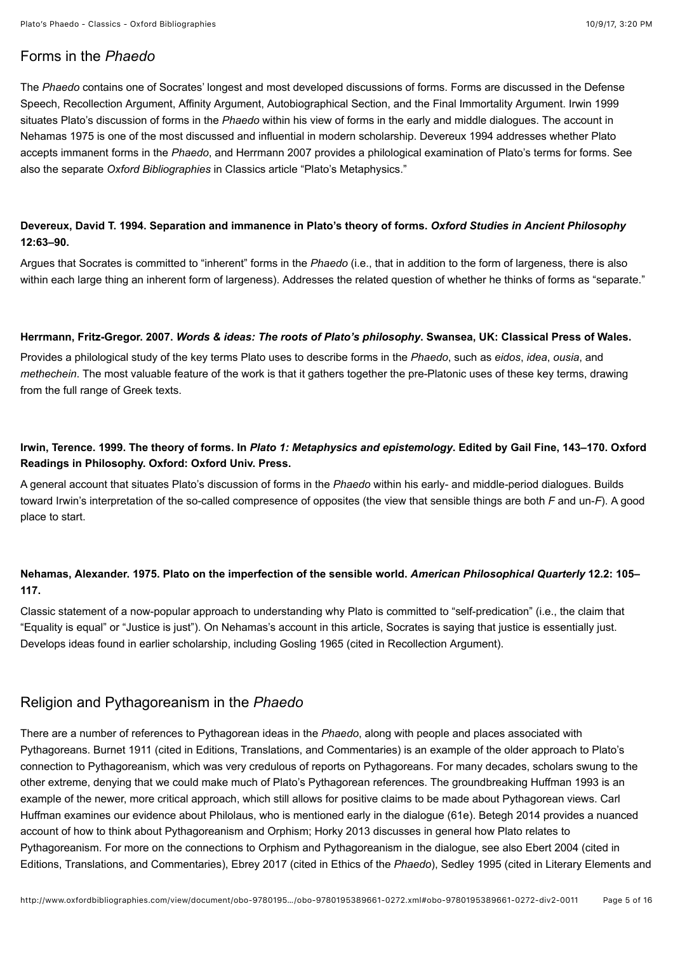# <span id="page-4-4"></span>Forms in the *Phaedo*

The *Phaedo* contains one of Socrates' longest and most developed discussions of forms. Forms are discussed in the Defense [Speech, Recollection Argument, Affinity Argument, Autobiographical Section, and the Final Immortality Argument. Irwin 1999](#page-7-1) situates Plato's discussion of forms in the *Phaedo* within his view of forms in the early and middle dialogues. The account in [Nehamas 1975](#page-4-1) is one of the most discussed and influential in modern scholarship. [Devereux 1994](#page-4-2) addresses whether Plato accepts immanent forms in the *Phaedo*, and [Herrmann 2007](#page-4-3) provides a philological examination of Plato's terms for forms. See also the separate *Oxford Bibliographies* in Classics article ["Plato's Metaphysics.](http://www.oxfordbibliographies.com/view/document/obo-9780195389661/obo-9780195389661-0160.xml)"

## <span id="page-4-2"></span>**Devereux, David T. 1994. Separation and immanence in Plato's theory of forms.** *Oxford Studies in Ancient Philosophy* **12:63–90.**

Argues that Socrates is committed to "inherent" forms in the *Phaedo* (i.e., that in addition to the form of largeness, there is also within each large thing an inherent form of largeness). Addresses the related question of whether he thinks of forms as "separate."

#### <span id="page-4-3"></span>**Herrmann, Fritz-Gregor. 2007.** *Words & ideas: The roots of Plato's philosophy***. Swansea, UK: Classical Press of Wales.**

Provides a philological study of the key terms Plato uses to describe forms in the *Phaedo*, such as *eidos*, *idea*, *ousia*, and *methechein*. The most valuable feature of the work is that it gathers together the pre-Platonic uses of these key terms, drawing from the full range of Greek texts.

## <span id="page-4-0"></span>**Irwin, Terence. 1999. The theory of forms. In** *Plato 1: Metaphysics and epistemology***. Edited by Gail Fine, 143–170. Oxford Readings in Philosophy. Oxford: Oxford Univ. Press.**

A general account that situates Plato's discussion of forms in the *Phaedo* within his early- and middle-period dialogues. Builds toward Irwin's interpretation of the so-called compresence of opposites (the view that sensible things are both *F* and un-*F*). A good place to start.

# <span id="page-4-1"></span>**Nehamas, Alexander. 1975. Plato on the imperfection of the sensible world.** *American Philosophical Quarterly* **12.2: 105– 117.**

Classic statement of a now-popular approach to understanding why Plato is committed to "self-predication" (i.e., the claim that "Equality is equal" or "Justice is just"). On Nehamas's account in this article, Socrates is saying that justice is essentially just. Develops ideas found in earlier scholarship, including [Gosling 1965](#page-8-1) (cited in [Recollection Argument](#page-8-0)).

## <span id="page-4-5"></span>Religion and Pythagoreanism in the *Phaedo*

There are a number of references to Pythagorean ideas in the *Phaedo*, along with people and places associated with Pythagoreans. [Burnet 1911](#page-1-4) (cited in [Editions, Translations, and Commentaries](#page-1-7)) is an example of the older approach to Plato's connection to Pythagoreanism, which was very credulous of reports on Pythagoreans. For many decades, scholars swung to the other extreme, denying that we could make much of Plato's Pythagorean references. The groundbreaking [Huffman 1993](#page-5-0) is an example of the newer, more critical approach, which still allows for positive claims to be made about Pythagorean views. Carl Huffman examines our evidence about Philolaus, who is mentioned early in the dialogue (61e). [Betegh 2014](#page-5-1) provides a nuanced account of how to think about Pythagoreanism and Orphism; [Horky 2013](#page-5-2) discusses in general how Plato relates to Pythagoreanism. For more on the connections to Orphism and Pythagoreanism in the dialogue, see also [Ebert 2004](#page-1-5) (cited in [Editions, Translations, and Commentarie](#page-1-7)[s\), E](#page-5-3)[brey 2017](#page-3-3) [\(cited in E](#page-5-3)[thics of the](#page-3-6) *Phaedo*), [Sedley 1995](#page-6-1) (cited in Literary Elements and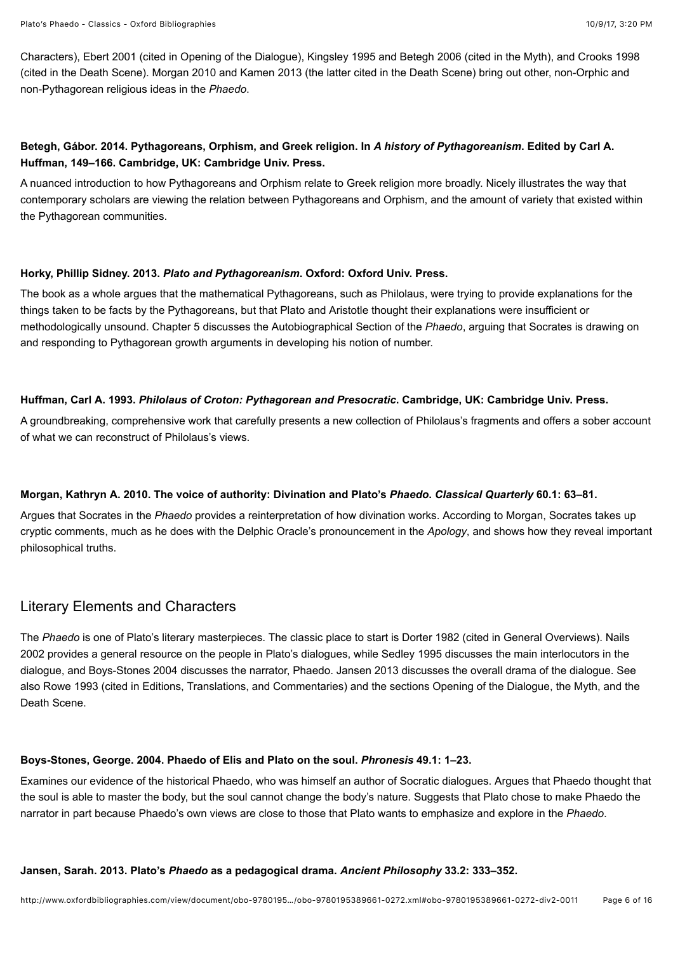[Characters\), Ebert 2001 \(cited in Opening of the Dialogue\), Kingsley 1995 and Betegh 2006 \(cited in the Myth\), and Crooks 1998](#page-5-3) (cited in the [Death Scene\)](#page-13-1). [Morgan 2010](#page-5-4) and [Kamen 2013](#page-13-0) (the latter cited in the [Death Scene\)](#page-13-1) bring out other, non-Orphic and non-Pythagorean religious ideas in the *Phaedo*.

## <span id="page-5-1"></span>**Betegh, Gábor. 2014. Pythagoreans, Orphism, and Greek religion. In** *A history of Pythagoreanism***. Edited by Carl A. Huffman, 149–166. Cambridge, UK: Cambridge Univ. Press.**

A nuanced introduction to how Pythagoreans and Orphism relate to Greek religion more broadly. Nicely illustrates the way that contemporary scholars are viewing the relation between Pythagoreans and Orphism, and the amount of variety that existed within the Pythagorean communities.

#### <span id="page-5-2"></span>**Horky, Phillip Sidney. 2013.** *Plato and Pythagoreanism***. Oxford: Oxford Univ. Press.**

The book as a whole argues that the mathematical Pythagoreans, such as Philolaus, were trying to provide explanations for the things taken to be facts by the Pythagoreans, but that Plato and Aristotle thought their explanations were insufficient or methodologically unsound. Chapter 5 discusses the [Autobiographical Section](#page-10-0) of the *Phaedo*, arguing that Socrates is drawing on and responding to Pythagorean growth arguments in developing his notion of number.

#### <span id="page-5-0"></span>**Huffman, Carl A. 1993.** *Philolaus of Croton: Pythagorean and Presocratic***. Cambridge, UK: Cambridge Univ. Press.**

A groundbreaking, comprehensive work that carefully presents a new collection of Philolaus's fragments and offers a sober account of what we can reconstruct of Philolaus's views.

## <span id="page-5-4"></span>**Morgan, Kathryn A. 2010. The voice of authority: Divination and Plato's** *Phaedo***.** *Classical Quarterly* **60.1: 63–81.**

Argues that Socrates in the *Phaedo* provides a reinterpretation of how divination works. According to Morgan, Socrates takes up cryptic comments, much as he does with the Delphic Oracle's pronouncement in the *Apology*, and shows how they reveal important philosophical truths.

# <span id="page-5-3"></span>Literary Elements and Characters

The *Phaedo* is one of Plato's literary masterpieces. The classic place to start is [Dorter 1982](#page-0-1) (cited in [General Overviews\)](#page-0-2). Nails [2002 provides a general resource on the people in Plato's dialogues, while Sedley 1995 discusses the main interlocutors in the](#page-6-4) dialogue, and [Boys-Stones 2004](#page-5-5) discusses the narrator, Phaedo. [Jansen 2013](#page-5-6) discusses the overall drama of the dialogue. See also [Rowe 1993](#page-2-2) (cited in [Editions, Translations, and Commentaries\)](#page-1-7) and the sections [Opening of the Dialogue](#page-6-3), the [Myth](#page-12-2), and the [Death Scene.](#page-13-1)

#### <span id="page-5-5"></span>**Boys-Stones, George. 2004. Phaedo of Elis and Plato on the soul.** *Phronesis* **49.1: 1–23.**

Examines our evidence of the historical Phaedo, who was himself an author of Socratic dialogues. Argues that Phaedo thought that the soul is able to master the body, but the soul cannot change the body's nature. Suggests that Plato chose to make Phaedo the narrator in part because Phaedo's own views are close to those that Plato wants to emphasize and explore in the *Phaedo*.

#### <span id="page-5-6"></span>**Jansen, Sarah. 2013. Plato's** *Phaedo* **as a pedagogical drama.** *Ancient Philosophy* **33.2: 333–352.**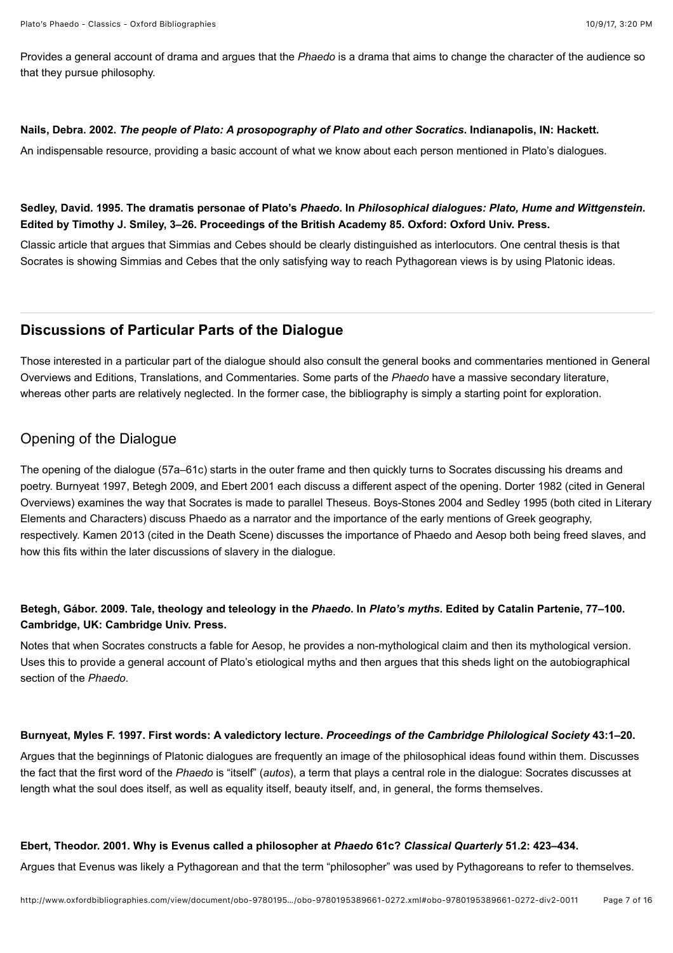Provides a general account of drama and argues that the *Phaedo* is a drama that aims to change the character of the audience so that they pursue philosophy.

#### <span id="page-6-4"></span>**Nails, Debra. 2002.** *The people of Plato: A prosopography of Plato and other Socratics***. Indianapolis, IN: Hackett.**

An indispensable resource, providing a basic account of what we know about each person mentioned in Plato's dialogues.

## <span id="page-6-1"></span>**Sedley, David. 1995. The dramatis personae of Plato's** *Phaedo***. In** *Philosophical dialogues: Plato, Hume and Wittgenstein***. Edited by Timothy J. Smiley, 3–26. Proceedings of the British Academy 85. Oxford: Oxford Univ. Press.**

Classic article that argues that Simmias and Cebes should be clearly distinguished as interlocutors. One central thesis is that Socrates is showing Simmias and Cebes that the only satisfying way to reach Pythagorean views is by using Platonic ideas.

# <span id="page-6-0"></span>**Discussions of Particular Parts of the Dialogue**

[Those interested in a particular part of the dialogue should also consult the general books and commentaries mentioned in General](#page-0-2) Overviews and [Editions, Translations, and Commentaries](#page-1-7). Some parts of the *Phaedo* have a massive secondary literature, whereas other parts are relatively neglected. In the former case, the bibliography is simply a starting point for exploration.

# <span id="page-6-3"></span>Opening of the Dialogue

The opening of the dialogue (57a–61c) starts in the outer frame and then quickly turns to Socrates discussing his dreams and [poetry.](#page-0-2) [Burnyeat 1997](#page-6-5)[,](#page-0-2) [Betegh 2009](#page-6-6)[, and E](#page-0-2)[bert 2001](#page-6-2) [each discuss a different aspect of the opening.](#page-0-2) [Dorter 1982](#page-0-1) [\(cited in General](#page-0-2) [Overviews\) examines the way that Socrates is made to parallel Theseus.](#page-5-3) [Boys-Stones 200](#page-5-5)[4 and](#page-5-3) [Sedley 1995](#page-6-1) [\(both cited in Literary](#page-5-3) Elements and Characters) discuss Phaedo as a narrator and the importance of the early mentions of Greek geography, respectively. [Kamen 2013](#page-13-0) (cited in the [Death Scene](#page-13-1)) discusses the importance of Phaedo and Aesop both being freed slaves, and how this fits within the later discussions of slavery in the dialogue.

## <span id="page-6-6"></span>**Betegh, Gábor. 2009. Tale, theology and teleology in the** *Phaedo***. In** *Plato's myths***. Edited by Catalin Partenie, 77–100. Cambridge, UK: Cambridge Univ. Press.**

Notes that when Socrates constructs a fable for Aesop, he provides a non-mythological claim and then its mythological version. Uses this to provide a general account of Plato's etiological myths and then argues that this sheds light on the autobiographical section of the *Phaedo*.

#### <span id="page-6-5"></span>**Burnyeat, Myles F. 1997. First words: A valedictory lecture.** *Proceedings of the Cambridge Philological Society* **43:1–20.**

Argues that the beginnings of Platonic dialogues are frequently an image of the philosophical ideas found within them. Discusses the fact that the first word of the *Phaedo* is "itself" (*autos*), a term that plays a central role in the dialogue: Socrates discusses at length what the soul does itself, as well as equality itself, beauty itself, and, in general, the forms themselves.

#### <span id="page-6-2"></span>**Ebert, Theodor. 2001. Why is Evenus called a philosopher at** *Phaedo* **61c?** *Classical Quarterly* **51.2: 423–434.**

Argues that Evenus was likely a Pythagorean and that the term "philosopher" was used by Pythagoreans to refer to themselves.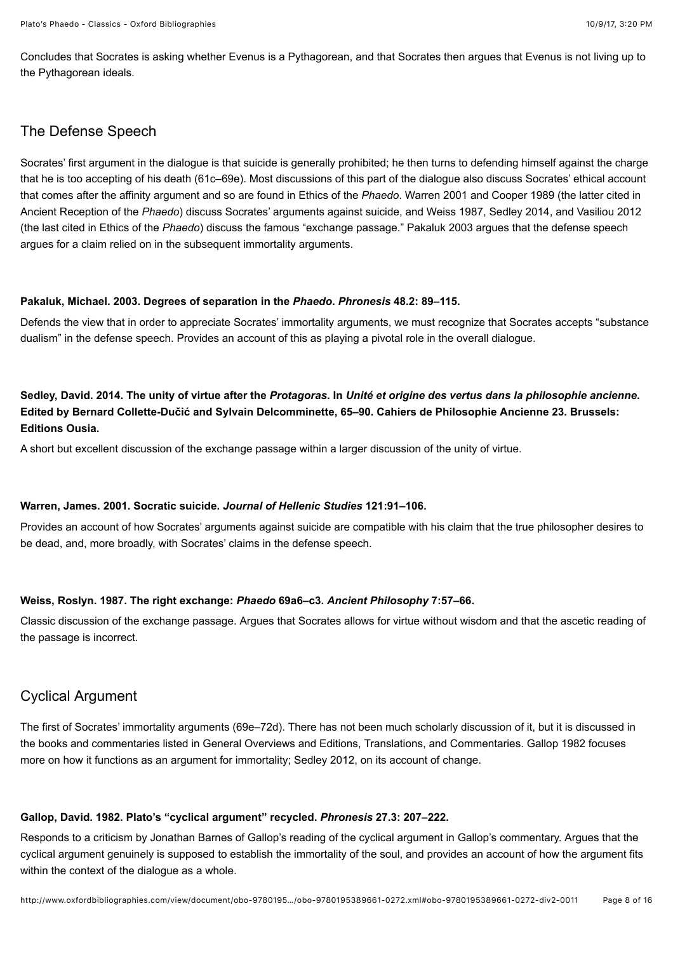Plato's Phaedo - Classics - Oxford Bibliographies 10/9/17, 3:20 PM

Concludes that Socrates is asking whether Evenus is a Pythagorean, and that Socrates then argues that Evenus is not living up to the Pythagorean ideals.

# <span id="page-7-1"></span>The Defense Speech

Socrates' first argument in the dialogue is that suicide is generally prohibited; he then turns to defending himself against the charge that he is too accepting of his death (61c–69e). Most discussions of this part of the dialogue also discuss Socrates' ethical account that comes after the affinity argument and so are found in [Ethics of the](#page-3-6) *Phaedo*. [Warren 2001](#page-7-2) and [Cooper 1989](#page-14-0) (the latter cited in [Ancient Reception of the](#page-14-1) *Phaedo*) discuss Socrates' arguments against suicide, and [Weiss 1987](#page-7-3), [Sedley 2014,](#page-7-4) and [Vasiliou 2012](#page-3-4) (the last cited in [Ethics of the](#page-3-6) *Phaedo*) discuss the famous "exchange passage." [Pakaluk 2003](#page-7-0) argues that the defense speech argues for a claim relied on in the subsequent immortality arguments.

#### <span id="page-7-0"></span>**Pakaluk, Michael. 2003. Degrees of separation in the** *Phaedo***.** *Phronesis* **48.2: 89–115.**

Defends the view that in order to appreciate Socrates' immortality arguments, we must recognize that Socrates accepts "substance dualism" in the defense speech. Provides an account of this as playing a pivotal role in the overall dialogue.

# <span id="page-7-4"></span>**Sedley, David. 2014. The unity of virtue after the** *Protagoras***. In** *Unité et origine des vertus dans la philosophie ancienne***. Edited by Bernard Collette-Dučić and Sylvain Delcomminette, 65–90. Cahiers de Philosophie Ancienne 23. Brussels: Editions Ousia.**

A short but excellent discussion of the exchange passage within a larger discussion of the unity of virtue.

#### <span id="page-7-2"></span>**Warren, James. 2001. Socratic suicide.** *Journal of Hellenic Studies* **121:91–106.**

Provides an account of how Socrates' arguments against suicide are compatible with his claim that the true philosopher desires to be dead, and, more broadly, with Socrates' claims in the defense speech.

## <span id="page-7-3"></span>**Weiss, Roslyn. 1987. The right exchange:** *Phaedo* **69a6–c3.** *Ancient Philosophy* **7:57–66.**

Classic discussion of the exchange passage. Argues that Socrates allows for virtue without wisdom and that the ascetic reading of the passage is incorrect.

# Cyclical Argument

The first of Socrates' immortality arguments (69e–72d). There has not been much scholarly discussion of it, but it is discussed in the books and commentaries listed in [General Overviews](#page-0-2) and [Editions, Translations, and Commentaries](#page-1-7). [Gallop 1982](#page-7-5) focuses more on how it functions as an argument for immortality; [Sedley 2012](#page-8-2), on its account of change.

## <span id="page-7-5"></span>**Gallop, David. 1982. Plato's "cyclical argument" recycled.** *Phronesis* **27.3: 207–222.**

Responds to a criticism by Jonathan Barnes of Gallop's reading of the cyclical argument in Gallop's commentary. Argues that the cyclical argument genuinely is supposed to establish the immortality of the soul, and provides an account of how the argument fits within the context of the dialogue as a whole.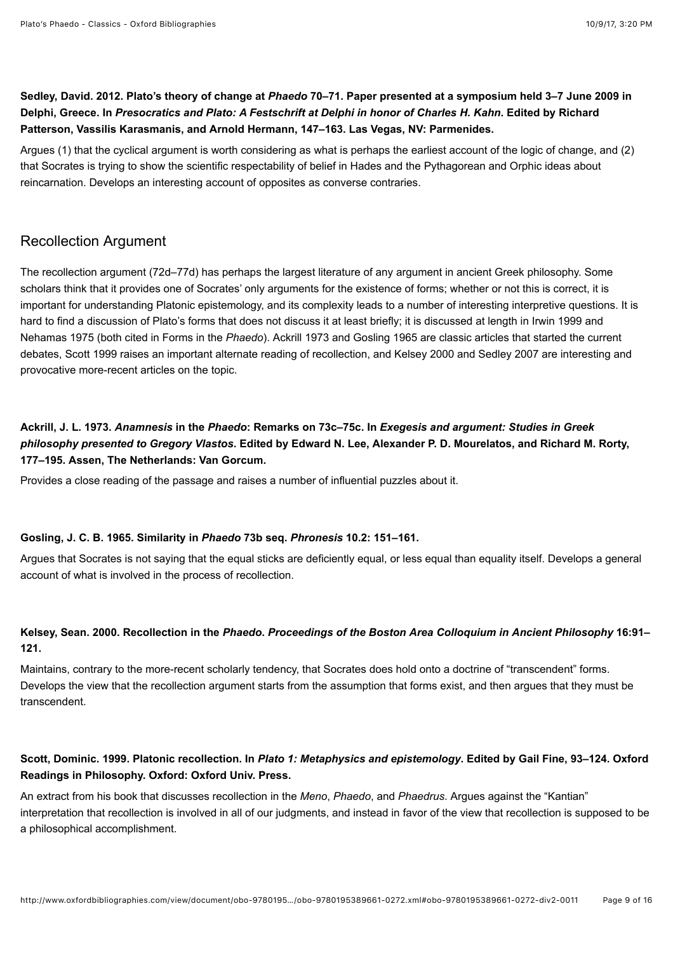# <span id="page-8-2"></span>**Sedley, David. 2012. Plato's theory of change at** *Phaedo* **70–71. Paper presented at a symposium held 3–7 June 2009 in Delphi, Greece. In** *Presocratics and Plato: A Festschrift at Delphi in honor of Charles H. Kahn***. Edited by Richard Patterson, Vassilis Karasmanis, and Arnold Hermann, 147–163. Las Vegas, NV: Parmenides.**

Argues (1) that the cyclical argument is worth considering as what is perhaps the earliest account of the logic of change, and (2) that Socrates is trying to show the scientific respectability of belief in Hades and the Pythagorean and Orphic ideas about reincarnation. Develops an interesting account of opposites as converse contraries.

# <span id="page-8-0"></span>Recollection Argument

The recollection argument (72d–77d) has perhaps the largest literature of any argument in ancient Greek philosophy. Some scholars think that it provides one of Socrates' only arguments for the existence of forms; whether or not this is correct, it is important for understanding Platonic epistemology, and its complexity leads to a number of interesting interpretive questions. It is hard to find a discussion of Plato's forms that does not discuss it at least briefly; it is discussed at length in [Irwin 1999](#page-4-0) and [Nehamas 1975](#page-4-1) (both cited in [Forms in the](#page-4-4) *Phaedo*). [Ackrill 1973](#page-8-3) and [Gosling 1965](#page-8-1) are classic articles that started the current debates, [Scott 1999](#page-8-4) raises an important alternate reading of recollection, and [Kelsey 2000](#page-8-5) and [Sedley 2007](#page-9-1) are interesting and provocative more-recent articles on the topic.

# <span id="page-8-3"></span>**Ackrill, J. L. 1973.** *Anamnesis* **in the** *Phaedo***: Remarks on 73c–75c. In** *Exegesis and argument: Studies in Greek philosophy presented to Gregory Vlastos***. Edited by Edward N. Lee, Alexander P. D. Mourelatos, and Richard M. Rorty, 177–195. Assen, The Netherlands: Van Gorcum.**

Provides a close reading of the passage and raises a number of influential puzzles about it.

#### <span id="page-8-1"></span>**Gosling, J. C. B. 1965. Similarity in** *Phaedo* **73b seq.** *Phronesis* **10.2: 151–161.**

Argues that Socrates is not saying that the equal sticks are deficiently equal, or less equal than equality itself. Develops a general account of what is involved in the process of recollection.

## <span id="page-8-5"></span>**Kelsey, Sean. 2000. Recollection in the** *Phaedo***.** *Proceedings of the Boston Area Colloquium in Ancient Philosophy* **16:91– 121.**

Maintains, contrary to the more-recent scholarly tendency, that Socrates does hold onto a doctrine of "transcendent" forms. Develops the view that the recollection argument starts from the assumption that forms exist, and then argues that they must be transcendent.

## <span id="page-8-4"></span>**Scott, Dominic. 1999. Platonic recollection. In** *Plato 1: Metaphysics and epistemology***. Edited by Gail Fine, 93–124. Oxford Readings in Philosophy. Oxford: Oxford Univ. Press.**

An extract from his book that discusses recollection in the *Meno*, *Phaedo*, and *Phaedrus*. Argues against the "Kantian" interpretation that recollection is involved in all of our judgments, and instead in favor of the view that recollection is supposed to be a philosophical accomplishment.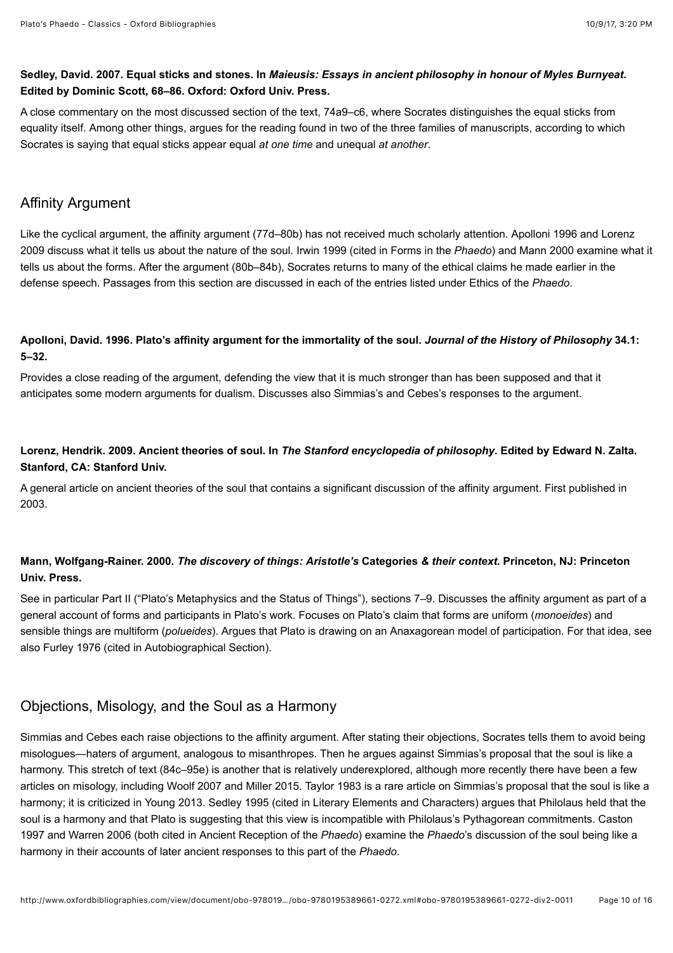## <span id="page-9-1"></span>**Sedley, David. 2007. Equal sticks and stones. In** *Maieusis: Essays in ancient philosophy in honour of Myles Burnyeat***. Edited by Dominic Scott, 68–86. Oxford: Oxford Univ. Press.**

A close commentary on the most discussed section of the text, 74a9–c6, where Socrates distinguishes the equal sticks from equality itself. Among other things, argues for the reading found in two of the three families of manuscripts, according to which Socrates is saying that equal sticks appear equal *at one time* and unequal *at another*.

# <span id="page-9-0"></span>Affinity Argument

[Like the cyclical argument, the affinity argument \(77d–80b\) has not received much scholarly attention.](#page-9-3) [Apolloni 199](#page-9-2)[6 and Lorenz](#page-9-3) 2009 discuss what it tells us about the nature of the soul. [Irwin 1999](#page-4-0) (cited in [Forms in the](#page-4-4) *Phaedo*) and [Mann 2000](#page-9-4) examine what it tells us about the forms. After the argument (80b–84b), Socrates returns to many of the ethical claims he made earlier in the defense speech. Passages from this section are discussed in each of the entries listed under [Ethics of the](#page-3-6) *Phaedo*.

## <span id="page-9-2"></span>**Apolloni, David. 1996. Plato's affinity argument for the immortality of the soul.** *Journal of the History of Philosophy* **34.1: 5–32.**

Provides a close reading of the argument, defending the view that it is much stronger than has been supposed and that it anticipates some modern arguments for dualism. Discusses also Simmias's and Cebes's responses to the argument.

# <span id="page-9-3"></span>**Lorenz, Hendrik. 2009. [Ancient theories of soul](https://plato.stanford.edu/entries/ancient-soul/). In** *The Stanford encyclopedia of philosophy***. Edited by Edward N. Zalta. Stanford, CA: Stanford Univ.**

A general article on ancient theories of the soul that contains a significant discussion of the affinity argument. First published in 2003.

# <span id="page-9-4"></span>**Mann, Wolfgang-Rainer. 2000.** *The discovery of things: Aristotle's* **Categories** *& their context***. Princeton, NJ: Princeton Univ. Press.**

See in particular Part II ("Plato's Metaphysics and the Status of Things"), sections 7–9. Discusses the affinity argument as part of a general account of forms and participants in Plato's work. Focuses on Plato's claim that forms are uniform (*monoeides*) and sensible things are multiform (*polueides*). Argues that Plato is drawing on an Anaxagorean model of participation. For that idea, see also [Furley 1976](#page-11-1) (cited in [Autobiographical Section](#page-10-0)).

# Objections, Misology, and the Soul as a Harmony

Simmias and Cebes each raise objections to the affinity argument. After stating their objections, Socrates tells them to avoid being misologues—haters of argument, analogous to misanthropes. Then he argues against Simmias's proposal that the soul is like a harmony. This stretch of text (84c–95e) is another that is relatively underexplored, although more recently there have been a few articles on misology, including [Woolf 2007](#page-10-1) and [Miller 2015](#page-10-2). [Taylor 1983](#page-10-3) is a rare article on Simmias's proposal that the soul is like a harmony; it is criticized in [Young 2013.](#page-10-4) [Sedley 1995](#page-6-1) (cited in [Literary Elements and Characters\)](#page-5-3) argues that Philolaus held that the [soul is a harmony and that Plato is suggesting that this view is incompatible with Philolaus's Pythagorean commitments. Caston](#page-14-2) 1997 and [Warren 2006](#page-15-0) (both cited in [Ancient Reception of the](#page-14-1) *Phaedo*) examine the *Phaedo*'s discussion of the soul being like a harmony in their accounts of later ancient responses to this part of the *Phaedo*.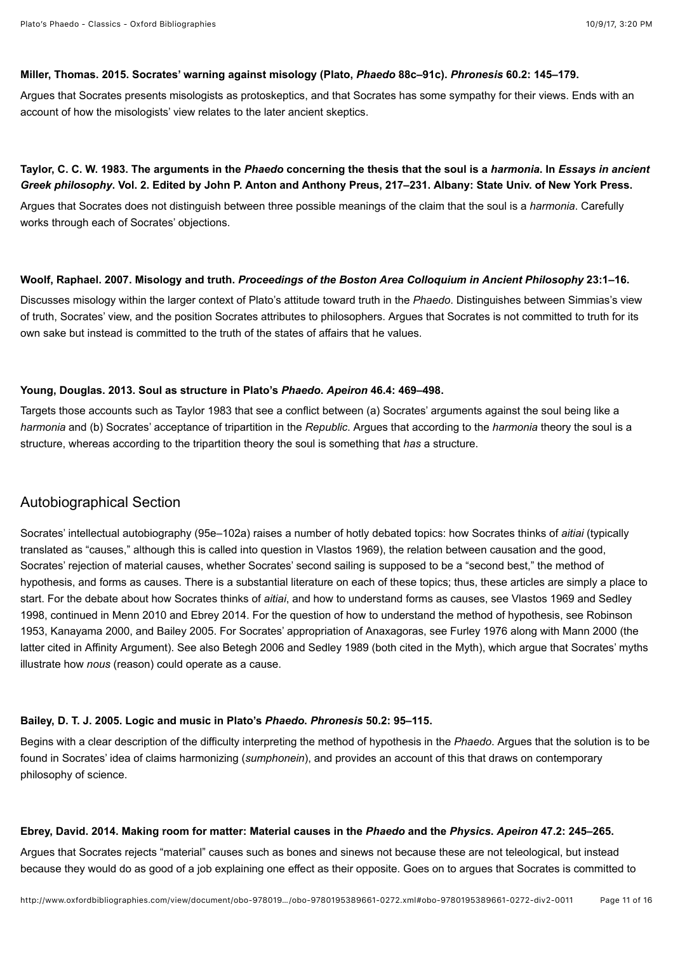#### <span id="page-10-2"></span>**Miller, Thomas. 2015. Socrates' warning against misology (Plato,** *Phaedo* **88c–91c).** *Phronesis* **60.2: 145–179.**

Argues that Socrates presents misologists as protoskeptics, and that Socrates has some sympathy for their views. Ends with an account of how the misologists' view relates to the later ancient skeptics.

## <span id="page-10-3"></span>**Taylor, C. C. W. 1983. The arguments in the** *Phaedo* **concerning the thesis that the soul is a** *harmonia***. In** *Essays in ancient Greek philosophy***. Vol. 2. Edited by John P. Anton and Anthony Preus, 217–231. Albany: State Univ. of New York Press.**

Argues that Socrates does not distinguish between three possible meanings of the claim that the soul is a *harmonia*. Carefully works through each of Socrates' objections.

#### <span id="page-10-1"></span>**Woolf, Raphael. 2007. Misology and truth.** *Proceedings of the Boston Area Colloquium in Ancient Philosophy* **23:1–16.**

Discusses misology within the larger context of Plato's attitude toward truth in the *Phaedo*. Distinguishes between Simmias's view of truth, Socrates' view, and the position Socrates attributes to philosophers. Argues that Socrates is not committed to truth for its own sake but instead is committed to the truth of the states of affairs that he values.

#### <span id="page-10-4"></span>**Young, Douglas. 2013. Soul as structure in Plato's** *Phaedo***.** *Apeiron* **46.4: 469–498.**

Targets those accounts such as [Taylor 1983](#page-10-3) that see a conflict between (a) Socrates' arguments against the soul being like a *harmonia* and (b) Socrates' acceptance of tripartition in the *Republic*. Argues that according to the *harmonia* theory the soul is a structure, whereas according to the tripartition theory the soul is something that *has* a structure.

# <span id="page-10-0"></span>Autobiographical Section

Socrates' intellectual autobiography (95e–102a) raises a number of hotly debated topics: how Socrates thinks of *aitiai* (typically translated as "causes," although this is called into question in [Vlastos 1969](#page-11-2)), the relation between causation and the good, Socrates' rejection of material causes, whether Socrates' second sailing is supposed to be a "second best," the method of hypothesis, and forms as causes. There is a substantial literature on each of these topics; thus, these articles are simply a place to start. For the debate about how Socrates thinks of *aitiai*, and how to understand forms as causes, see [Vlastos 1969](#page-11-2) and Sedley [1998, continued in Menn 2010 and Ebrey 2014. For the question of how to understand the method of hypothesis, see Robinson](#page-11-3) 1953, [Kanayama 2000,](#page-11-6) and [Bailey 2005.](#page-10-6) For Socrates' appropriation of Anaxagoras, see [Furley 1976](#page-11-1) along with [Mann 2000](#page-9-4) (the latter cited in [Affinity Argument](#page-9-0)). See also [Betegh 2006](#page-12-1) and [Sedley 1989](#page-13-3) (both cited in the [Myth](#page-12-2)), which argue that Socrates' myths illustrate how *nous* (reason) could operate as a cause.

#### <span id="page-10-6"></span>**Bailey, D. T. J. 2005. Logic and music in Plato's** *Phaedo***.** *Phronesis* **50.2: 95–115.**

Begins with a clear description of the difficulty interpreting the method of hypothesis in the *Phaedo*. Argues that the solution is to be found in Socrates' idea of claims harmonizing (*sumphonein*), and provides an account of this that draws on contemporary philosophy of science.

#### <span id="page-10-5"></span>**Ebrey, David. 2014. Making room for matter: Material causes in the** *Phaedo* **and the** *Physics***.** *Apeiron* **47.2: 245–265.**

Argues that Socrates rejects "material" causes such as bones and sinews not because these are not teleological, but instead because they would do as good of a job explaining one effect as their opposite. Goes on to argues that Socrates is committed to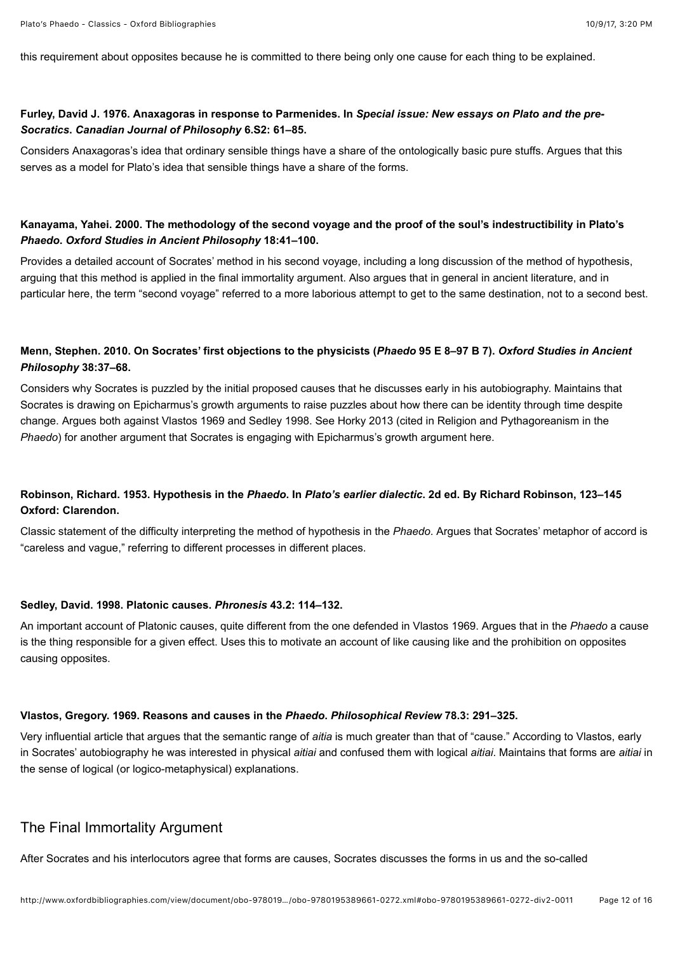this requirement about opposites because he is committed to there being only one cause for each thing to be explained.

#### <span id="page-11-1"></span>**Furley, David J. 1976. Anaxagoras in response to Parmenides. In** *Special issue: New essays on Plato and the pre-Socratics***.** *Canadian Journal of Philosophy* **6.S2: 61–85.**

Considers Anaxagoras's idea that ordinary sensible things have a share of the ontologically basic pure stuffs. Argues that this serves as a model for Plato's idea that sensible things have a share of the forms.

## <span id="page-11-6"></span>**Kanayama, Yahei. 2000. The methodology of the second voyage and the proof of the soul's indestructibility in Plato's** *Phaedo***.** *Oxford Studies in Ancient Philosophy* **18:41–100.**

Provides a detailed account of Socrates' method in his second voyage, including a long discussion of the method of hypothesis, arguing that this method is applied in the final immortality argument. Also argues that in general in ancient literature, and in particular here, the term "second voyage" referred to a more laborious attempt to get to the same destination, not to a second best.

## <span id="page-11-4"></span>**Menn, Stephen. 2010. On Socrates' first objections to the physicists (***Phaedo* **95 E 8–97 B 7).** *Oxford Studies in Ancient Philosophy* **38:37–68.**

Considers why Socrates is puzzled by the initial proposed causes that he discusses early in his autobiography. Maintains that Socrates is drawing on Epicharmus's growth arguments to raise puzzles about how there can be identity through time despite [change. Argues both against](#page-4-5) [Vlastos 1969](#page-11-2) [and S](#page-4-5)[edley 199](#page-11-3)[8. See H](#page-4-5)[orky 2013](#page-5-2) [\(cited in Religion and Pythagoreanism in the](#page-4-5) *Phaedo*) for another argument that Socrates is engaging with Epicharmus's growth argument here.

## <span id="page-11-5"></span>**Robinson, Richard. 1953. Hypothesis in the** *Phaedo***. In** *Plato's earlier dialectic***. 2d ed. By Richard Robinson, 123–145 Oxford: Clarendon.**

Classic statement of the difficulty interpreting the method of hypothesis in the *Phaedo*. Argues that Socrates' metaphor of accord is "careless and vague," referring to different processes in different places.

#### <span id="page-11-3"></span>**Sedley, David. 1998. Platonic causes.** *Phronesis* **43.2: 114–132.**

An important account of Platonic causes, quite different from the one defended in [Vlastos 1969.](#page-11-2) Argues that in the *Phaedo* a cause is the thing responsible for a given effect. Uses this to motivate an account of like causing like and the prohibition on opposites causing opposites.

#### <span id="page-11-2"></span>**Vlastos, Gregory. 1969. Reasons and causes in the** *Phaedo***.** *Philosophical Review* **78.3: 291–325.**

Very influential article that argues that the semantic range of *aitia* is much greater than that of "cause." According to Vlastos, early in Socrates' autobiography he was interested in physical *aitiai* and confused them with logical *aitiai*. Maintains that forms are *aitiai* in the sense of logical (or logico-metaphysical) explanations.

# <span id="page-11-0"></span>The Final Immortality Argument

After Socrates and his interlocutors agree that forms are causes, Socrates discusses the forms in us and the so-called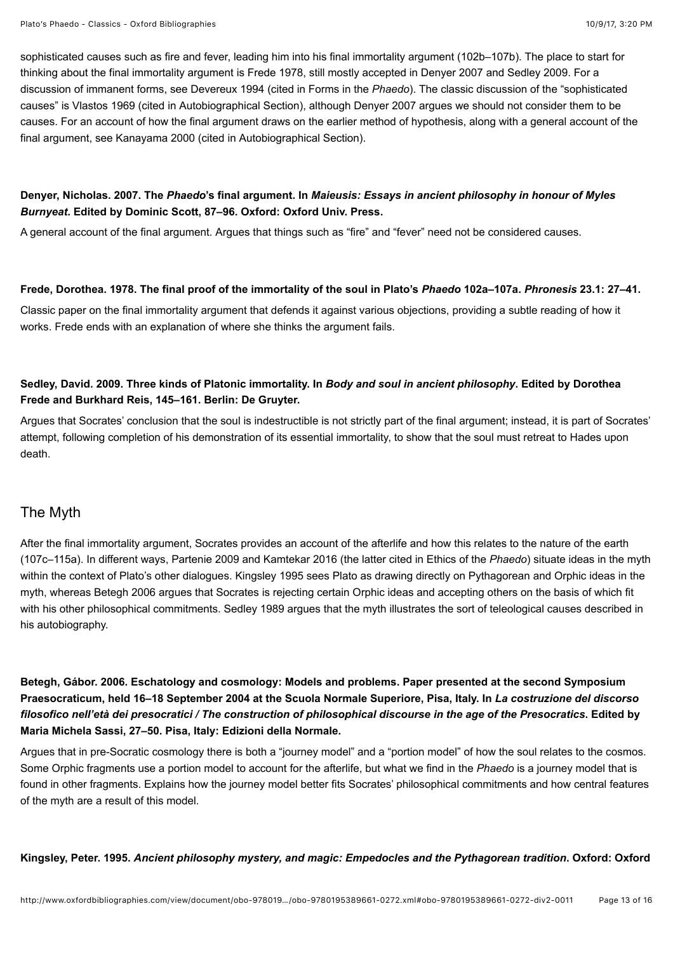sophisticated causes such as fire and fever, leading him into his final immortality argument (102b–107b). The place to start for thinking about the final immortality argument is [Frede 1978,](#page-12-3) still mostly accepted in [Denyer 2007](#page-12-4) and [Sedley 2009.](#page-12-5) For a discussion of immanent forms, see [Devereux 1994](#page-4-2) (cited in [Forms in the](#page-4-4) *Phaedo*). The classic discussion of the "sophisticated causes" is [Vlastos 1969](#page-11-2) (cited in [Autobiographical Section\)](#page-10-0), although [Denyer 2007](#page-12-4) argues we should not consider them to be causes. For an account of how the final argument draws on the earlier method of hypothesis, along with a general account of the final argument, see [Kanayama 2000](#page-11-6) (cited in [Autobiographical Section\)](#page-10-0).

## <span id="page-12-4"></span>**Denyer, Nicholas. 2007. The** *Phaedo***'s final argument. In** *Maieusis: Essays in ancient philosophy in honour of Myles Burnyeat***. Edited by Dominic Scott, 87–96. Oxford: Oxford Univ. Press.**

A general account of the final argument. Argues that things such as "fire" and "fever" need not be considered causes.

#### <span id="page-12-3"></span>**Frede, Dorothea. 1978. The final proof of the immortality of the soul in Plato's** *Phaedo* **102a–107a.** *Phronesis* **23.1: 27–41.**

Classic paper on the final immortality argument that defends it against various objections, providing a subtle reading of how it works. Frede ends with an explanation of where she thinks the argument fails.

## <span id="page-12-5"></span>**Sedley, David. 2009. Three kinds of Platonic immortality. In** *Body and soul in ancient philosophy***. Edited by Dorothea Frede and Burkhard Reis, 145–161. Berlin: De Gruyter.**

Argues that Socrates' conclusion that the soul is indestructible is not strictly part of the final argument; instead, it is part of Socrates' attempt, following completion of his demonstration of its essential immortality, to show that the soul must retreat to Hades upon death.

# <span id="page-12-2"></span>The Myth

After the final immortality argument, Socrates provides an account of the afterlife and how this relates to the nature of the earth (107c–115a). In different ways, [Partenie 2009](#page-13-4) and [Kamtekar 2016](#page-3-5) (the latter cited in [Ethics of the](#page-3-6) *Phaedo*) situate ideas in the myth within the context of Plato's other dialogues. [Kingsley 1995](#page-12-0) sees Plato as drawing directly on Pythagorean and Orphic ideas in the myth, whereas [Betegh 2006](#page-12-1) argues that Socrates is rejecting certain Orphic ideas and accepting others on the basis of which fit with his other philosophical commitments. [Sedley 1989](#page-13-3) argues that the myth illustrates the sort of teleological causes described in his autobiography.

<span id="page-12-1"></span>**Betegh, Gábor. 2006. Eschatology and cosmology: Models and problems. Paper presented at the second Symposium Praesocraticum, held 16–18 September 2004 at the Scuola Normale Superiore, Pisa, Italy. In** *La costruzione del discorso filosofico nell'età dei presocratici / The construction of philosophical discourse in the age of the Presocratics***. Edited by Maria Michela Sassi, 27–50. Pisa, Italy: Edizioni della Normale.**

Argues that in pre-Socratic cosmology there is both a "journey model" and a "portion model" of how the soul relates to the cosmos. Some Orphic fragments use a portion model to account for the afterlife, but what we find in the *Phaedo* is a journey model that is found in other fragments. Explains how the journey model better fits Socrates' philosophical commitments and how central features of the myth are a result of this model.

<span id="page-12-0"></span>**Kingsley, Peter. 1995.** *Ancient philosophy mystery, and magic: Empedocles and the Pythagorean tradition***. Oxford: Oxford**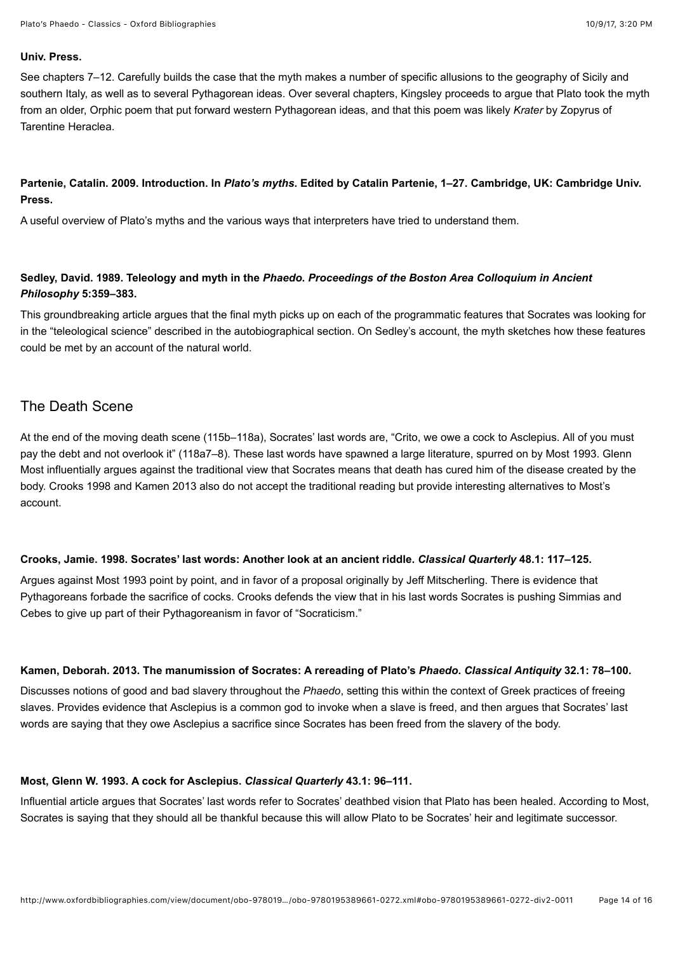#### **Univ. Press.**

See chapters 7–12. Carefully builds the case that the myth makes a number of specific allusions to the geography of Sicily and southern Italy, as well as to several Pythagorean ideas. Over several chapters, Kingsley proceeds to argue that Plato took the myth from an older, Orphic poem that put forward western Pythagorean ideas, and that this poem was likely *Krater* by Zopyrus of Tarentine Heraclea.

#### <span id="page-13-4"></span>**Partenie, Catalin. 2009. Introduction. In** *Plato's myths***. Edited by Catalin Partenie, 1–27. Cambridge, UK: Cambridge Univ. Press.**

A useful overview of Plato's myths and the various ways that interpreters have tried to understand them.

## <span id="page-13-3"></span>**Sedley, David. 1989. Teleology and myth in the** *Phaedo***.** *Proceedings of the Boston Area Colloquium in Ancient Philosophy* **5:359–383.**

This groundbreaking article argues that the final myth picks up on each of the programmatic features that Socrates was looking for in the "teleological science" described in the autobiographical section. On Sedley's account, the myth sketches how these features could be met by an account of the natural world.

# <span id="page-13-1"></span>The Death Scene

At the end of the moving death scene (115b–118a), Socrates' last words are, "Crito, we owe a cock to Asclepius. All of you must pay the debt and not overlook it" (118a7–8). These last words have spawned a large literature, spurred on by [Most 1993](#page-13-5). Glenn Most influentially argues against the traditional view that Socrates means that death has cured him of the disease created by the body. [Crooks 1998](#page-13-2) and [Kamen 2013](#page-13-0) also do not accept the traditional reading but provide interesting alternatives to Most's account.

#### <span id="page-13-2"></span>**Crooks, Jamie. 1998. Socrates' last words: Another look at an ancient riddle.** *Classical Quarterly* **48.1: 117–125.**

Argues against [Most 1993](#page-13-5) point by point, and in favor of a proposal originally by Jeff Mitscherling. There is evidence that Pythagoreans forbade the sacrifice of cocks. Crooks defends the view that in his last words Socrates is pushing Simmias and Cebes to give up part of their Pythagoreanism in favor of "Socraticism."

#### <span id="page-13-0"></span>**Kamen, Deborah. 2013. The manumission of Socrates: A rereading of Plato's** *Phaedo***.** *Classical Antiquity* **32.1: 78–100.**

Discusses notions of good and bad slavery throughout the *Phaedo*, setting this within the context of Greek practices of freeing slaves. Provides evidence that Asclepius is a common god to invoke when a slave is freed, and then argues that Socrates' last words are saying that they owe Asclepius a sacrifice since Socrates has been freed from the slavery of the body.

#### <span id="page-13-5"></span>**Most, Glenn W. 1993. A cock for Asclepius.** *Classical Quarterly* **43.1: 96–111.**

Influential article argues that Socrates' last words refer to Socrates' deathbed vision that Plato has been healed. According to Most, Socrates is saying that they should all be thankful because this will allow Plato to be Socrates' heir and legitimate successor.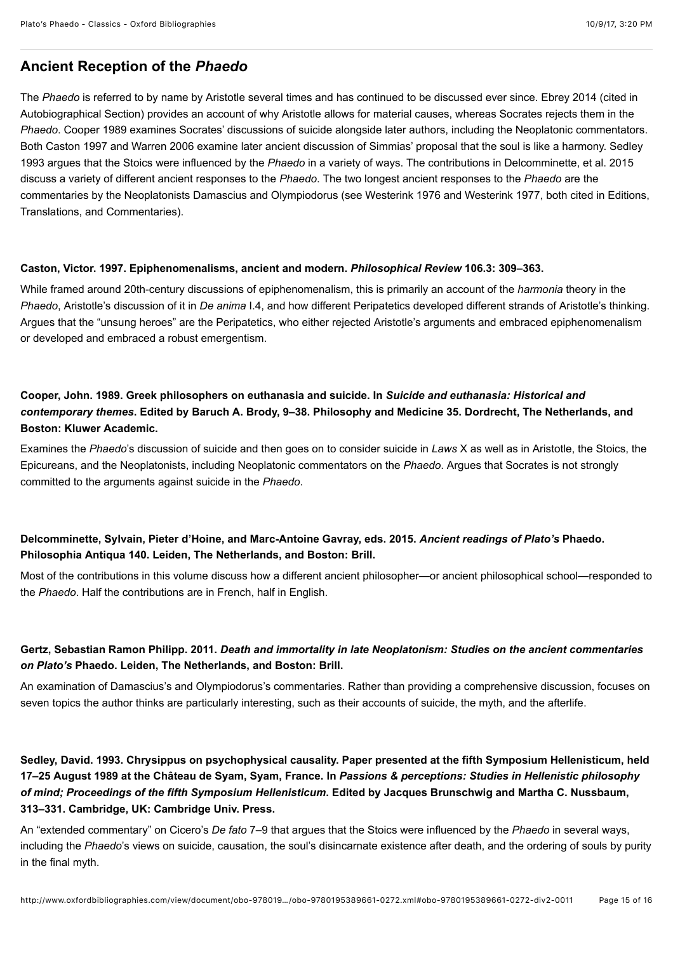# <span id="page-14-1"></span>**Ancient Reception of the** *Phaedo*

The *Phaedo* is referred to by name by Aristotle several times and has continued to be discussed ever since. [Ebrey 2014](#page-10-5) (cited in [Autobiographical Section](#page-10-0)) provides an account of why Aristotle allows for material causes, whereas Socrates rejects them in the *Phaedo*. [Cooper 1989](#page-14-0) examines Socrates' discussions of suicide alongside later authors, including the Neoplatonic commentators. [Both](#page-14-3) [Caston 1997](#page-14-2) [and](#page-14-3) [Warren 2006](#page-15-0) [examine later ancient discussion of Simmias' proposal that the soul is like a harmony. Sedley](#page-14-3) 1993 argues that the Stoics were influenced by the *Phaedo* in a variety of ways. The contributions in [Delcomminette, et al. 2015](#page-14-4) discuss a variety of different ancient responses to the *Phaedo*. The two longest ancient responses to the *Phaedo* are the [commentaries by the Neoplatonists Damascius and Olympiodorus \(see W](#page-1-7)[esterink 1976](#page-2-6) [and W](#page-1-7)[esterink 1977](#page-2-5)[, both cited in Editions,](#page-1-7) Translations, and Commentaries).

#### <span id="page-14-2"></span>**Caston, Victor. 1997. Epiphenomenalisms, ancient and modern.** *Philosophical Review* **106.3: 309–363.**

While framed around 20th-century discussions of epiphenomenalism, this is primarily an account of the *harmonia* theory in the *Phaedo*, Aristotle's discussion of it in *De anima* I.4, and how different Peripatetics developed different strands of Aristotle's thinking. Argues that the "unsung heroes" are the Peripatetics, who either rejected Aristotle's arguments and embraced epiphenomenalism or developed and embraced a robust emergentism.

# <span id="page-14-0"></span>**Cooper, John. 1989. Greek philosophers on euthanasia and suicide. In** *Suicide and euthanasia: Historical and contemporary themes***. Edited by Baruch A. Brody, 9–38. Philosophy and Medicine 35. Dordrecht, The Netherlands, and Boston: Kluwer Academic.**

Examines the *Phaedo*'s discussion of suicide and then goes on to consider suicide in *Laws* X as well as in Aristotle, the Stoics, the Epicureans, and the Neoplatonists, including Neoplatonic commentators on the *Phaedo*. Argues that Socrates is not strongly committed to the arguments against suicide in the *Phaedo*.

# <span id="page-14-4"></span>**Delcomminette, Sylvain, Pieter d'Hoine, and Marc-Antoine Gavray, eds. 2015.** *Ancient readings of Plato's* **Phaedo. Philosophia Antiqua 140. Leiden, The Netherlands, and Boston: Brill.**

Most of the contributions in this volume discuss how a different ancient philosopher—or ancient philosophical school—responded to the *Phaedo*. Half the contributions are in French, half in English.

## **Gertz, Sebastian Ramon Philipp. 2011.** *Death and immortality in late Neoplatonism: Studies on the ancient commentaries on Plato's* **Phaedo. Leiden, The Netherlands, and Boston: Brill.**

An examination of Damascius's and Olympiodorus's commentaries. Rather than providing a comprehensive discussion, focuses on seven topics the author thinks are particularly interesting, such as their accounts of suicide, the myth, and the afterlife.

# <span id="page-14-3"></span>**Sedley, David. 1993. Chrysippus on psychophysical causality. Paper presented at the fifth Symposium Hellenisticum, held 17–25 August 1989 at the Château de Syam, Syam, France. In** *Passions & perceptions: Studies in Hellenistic philosophy of mind; Proceedings of the fifth Symposium Hellenisticum***. Edited by Jacques Brunschwig and Martha C. Nussbaum, 313–331. Cambridge, UK: Cambridge Univ. Press.**

An "extended commentary" on Cicero's *De fato* 7–9 that argues that the Stoics were influenced by the *Phaedo* in several ways, including the *Phaedo*'s views on suicide, causation, the soul's disincarnate existence after death, and the ordering of souls by purity in the final myth.